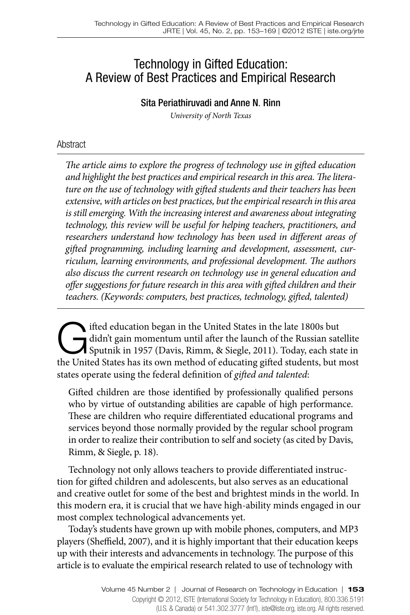# Technology in Gifted Education: A Review of Best Practices and Empirical Research

Sita Periathiruvadi and Anne N. Rinn *University of North Texas*

## Abstract

*The article aims to explore the progress of technology use in gifted education and highlight the best practices and empirical research in this area. The literature on the use of technology with gifted students and their teachers has been extensive, with articles on best practices, but the empirical research in this area is still emerging. With the increasing interest and awareness about integrating technology, this review will be useful for helping teachers, practitioners, and researchers understand how technology has been used in different areas of gifted programming, including learning and development, assessment, curriculum, learning environments, and professional development. The authors also discuss the current research on technology use in general education and offer suggestions for future research in this area with gifted children and their teachers. (Keywords: computers, best practices, technology, gifted, talented)*

Ifted education began in the United States in the late 1800s but<br>didn't gain momentum until after the launch of the Russian sate<br>Sputnik in 1957 (Davis, Rimm, & Siegle, 2011). Today, each state<br>the United States has its gu didn't gain momentum until after the launch of the Russian satellite **1** Sputnik in 1957 (Davis, Rimm, & Siegle, 2011). Today, each state in the United States has its own method of educating gifted students, but most states operate using the federal definition of *gifted and talented*:

Gifted children are those identified by professionally qualified persons who by virtue of outstanding abilities are capable of high performance. These are children who require differentiated educational programs and services beyond those normally provided by the regular school program in order to realize their contribution to self and society (as cited by Davis, Rimm, & Siegle, p. 18).

Technology not only allows teachers to provide differentiated instruction for gifted children and adolescents, but also serves as an educational and creative outlet for some of the best and brightest minds in the world. In this modern era, it is crucial that we have high-ability minds engaged in our most complex technological advancements yet.

Today's students have grown up with mobile phones, computers, and MP3 players (Sheffield, 2007), and it is highly important that their education keeps up with their interests and advancements in technology. The purpose of this article is to evaluate the empirical research related to use of technology with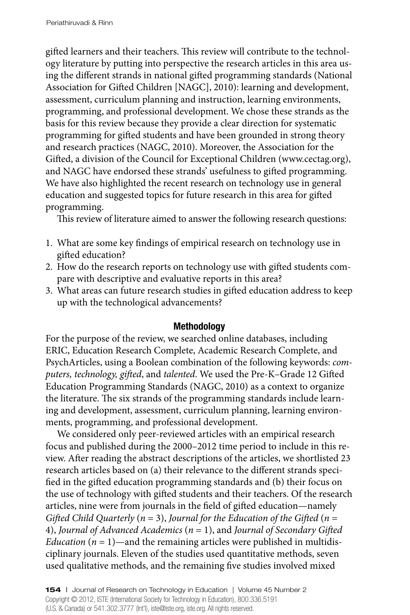gifted learners and their teachers. This review will contribute to the technology literature by putting into perspective the research articles in this area using the different strands in national gifted programming standards (National Association for Gifted Children [NAGC], 2010): learning and development, assessment, curriculum planning and instruction, learning environments, programming, and professional development. We chose these strands as the basis for this review because they provide a clear direction for systematic programming for gifted students and have been grounded in strong theory and research practices (NAGC, 2010). Moreover, the Association for the Gifted, a division of the Council for Exceptional Children (www.cectag.org), and NAGC have endorsed these strands' usefulness to gifted programming. We have also highlighted the recent research on technology use in general education and suggested topics for future research in this area for gifted programming.

This review of literature aimed to answer the following research questions:

- 1. What are some key findings of empirical research on technology use in gifted education?
- 2. How do the research reports on technology use with gifted students compare with descriptive and evaluative reports in this area?
- 3. What areas can future research studies in gifted education address to keep up with the technological advancements?

## Methodology

For the purpose of the review, we searched online databases, including ERIC, Education Research Complete, Academic Research Complete, and PsychArticles, using a Boolean combination of the following keywords: *computers, technology, gifted*, and *talented*. We used the Pre-K–Grade 12 Gifted Education Programming Standards (NAGC, 2010) as a context to organize the literature. The six strands of the programming standards include learning and development, assessment, curriculum planning, learning environments, programming, and professional development.

We considered only peer-reviewed articles with an empirical research focus and published during the 2000–2012 time period to include in this review. After reading the abstract descriptions of the articles, we shortlisted 23 research articles based on (a) their relevance to the different strands specified in the gifted education programming standards and (b) their focus on the use of technology with gifted students and their teachers. Of the research articles, nine were from journals in the field of gifted education—namely *Gifted Child Quarterly* (*n* = 3), *Journal for the Education of the Gifted* (*n* = 4), *Journal of Advanced Academics* (*n* = 1), and *Journal of Secondary Gifted Education*  $(n = 1)$ —and the remaining articles were published in multidisciplinary journals. Eleven of the studies used quantitative methods, seven used qualitative methods, and the remaining five studies involved mixed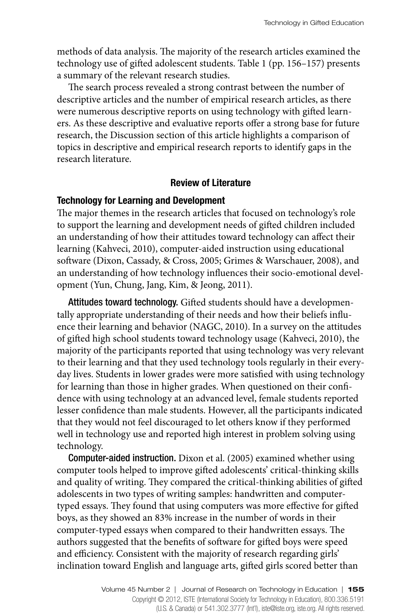methods of data analysis. The majority of the research articles examined the technology use of gifted adolescent students. Table 1 (pp. 156–157) presents a summary of the relevant research studies.

The search process revealed a strong contrast between the number of descriptive articles and the number of empirical research articles, as there were numerous descriptive reports on using technology with gifted learners. As these descriptive and evaluative reports offer a strong base for future research, the Discussion section of this article highlights a comparison of topics in descriptive and empirical research reports to identify gaps in the research literature.

#### Review of Literature

#### Technology for Learning and Development

The major themes in the research articles that focused on technology's role to support the learning and development needs of gifted children included an understanding of how their attitudes toward technology can affect their learning (Kahveci, 2010), computer-aided instruction using educational software (Dixon, Cassady, & Cross, 2005; Grimes & Warschauer, 2008), and an understanding of how technology influences their socio-emotional development (Yun, Chung, Jang, Kim, & Jeong, 2011).

Attitudes toward technology. Gifted students should have a developmentally appropriate understanding of their needs and how their beliefs influence their learning and behavior (NAGC, 2010). In a survey on the attitudes of gifted high school students toward technology usage (Kahveci, 2010), the majority of the participants reported that using technology was very relevant to their learning and that they used technology tools regularly in their everyday lives. Students in lower grades were more satisfied with using technology for learning than those in higher grades. When questioned on their confidence with using technology at an advanced level, female students reported lesser confidence than male students. However, all the participants indicated that they would not feel discouraged to let others know if they performed well in technology use and reported high interest in problem solving using technology.

Computer-aided instruction. Dixon et al. (2005) examined whether using computer tools helped to improve gifted adolescents' critical-thinking skills and quality of writing. They compared the critical-thinking abilities of gifted adolescents in two types of writing samples: handwritten and computertyped essays. They found that using computers was more effective for gifted boys, as they showed an 83% increase in the number of words in their computer-typed essays when compared to their handwritten essays. The authors suggested that the benefits of software for gifted boys were speed and efficiency. Consistent with the majority of research regarding girls' inclination toward English and language arts, gifted girls scored better than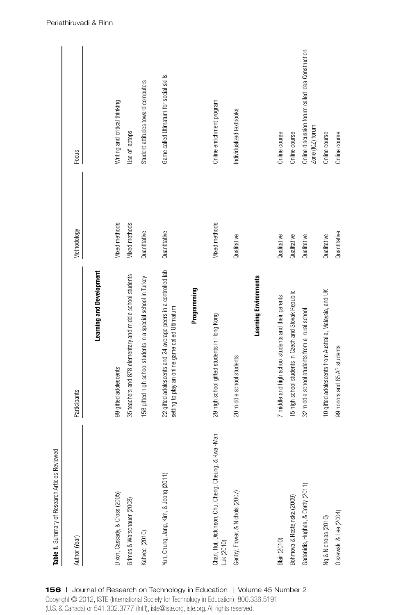| Author (Year)                                                      | Participants                                                                                                      | Methodology   | Focus                                                                |
|--------------------------------------------------------------------|-------------------------------------------------------------------------------------------------------------------|---------------|----------------------------------------------------------------------|
|                                                                    | Learning and Development                                                                                          |               |                                                                      |
| Dixon, Cassady, & Cross (2005)                                     | 99 gifted adolescents                                                                                             | Mixed methods | Writing and critical thinking                                        |
| Grimes & Warschauer (2008)                                         | 35 teachers and 878 elementary and middle school students                                                         | Mixed methods | Use of laptops                                                       |
| Kahveci (2010)                                                     | 158 gifted high school students in a special school in Turkey                                                     | Quantitative  | Student attitudes toward computers                                   |
| Yun, Chung, Jang, Kim, & Jeong (2011)                              | 22 gifted adolescents and 24 average peers in a controlled lab<br>setting to play an online game called Ultimatum | Quantitative  | Game called Utimatum for social skills                               |
|                                                                    | Programming                                                                                                       |               |                                                                      |
| Chan, Hui, Dickinson, Chu, Cheng, Cheung, & Kwai-Man<br>Luk (2010) | 29 high school gifted students in Hong Kong                                                                       | Mixed methods | Online enrichment program                                            |
| Gentry, Flower, & Nichols (2007)                                   | 20 middle school students                                                                                         | Qualitative   | Individualized textbooks                                             |
|                                                                    | <b>Learning Environments</b>                                                                                      |               |                                                                      |
| Blair (2010)                                                       | 7 middle and high school students and their parents                                                               | Qualitative   | Online course                                                        |
| Bohmova & Rostejnska (2009)                                        | 15 high school students in Czech and Slovak Republic                                                              | Qualitative   | Online course                                                        |
| Gadanidis, Hughes, & Cordy (2011)                                  | 32 middle school students from a rural school                                                                     | Qualitative   | Online discussion forum called Idea Construction<br>Zone (ICZ) forum |
| Ng & Nicholas (2010)                                               | 10 gifted adolescents from Australia, Malaysia, and UK                                                            | Qualitative   | Online course                                                        |
| Olszewski & Lee (2004)                                             | 99 honors and 85 AP students                                                                                      | Quantitative  | Online course                                                        |

Periathiruvadi & Rinn

<sup>156 |</sup> Journal of Research on Technology in Education | Volume 45 Number 2 Copyright © 2012, ISTE (International Society for Technology in Education), 800.336.5191 (U.S. & Canada) or 541.302.3777 (Int'l), iste@iste.org, iste.org. All rights reserved.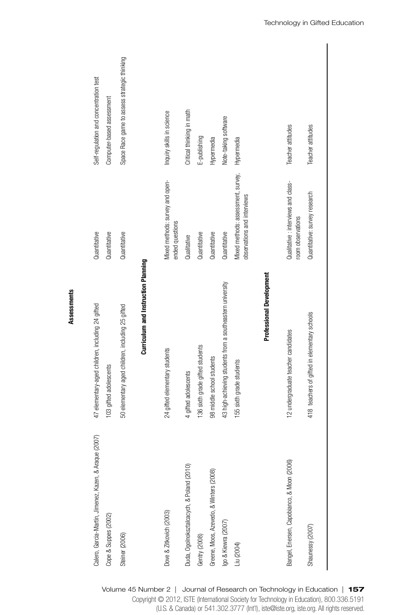| Calero, Garcia-Martin, Jimenez, Kazen, & Araque (2007)<br>Cope & Suppes (2002)<br>Steiner (2006) | 47 elementary-aged children, including 24 gifted<br>50 elementary aged children, including 25 gifted<br>103 gifted adolescents | Quantitative<br>Quantitative<br>Quantitative                      | Space Race game to assess strategic thinking<br>Self-regulation and concentration test<br>Computer-based assessment |
|--------------------------------------------------------------------------------------------------|--------------------------------------------------------------------------------------------------------------------------------|-------------------------------------------------------------------|---------------------------------------------------------------------------------------------------------------------|
|                                                                                                  | <b>Curriculum and Instruction Planning</b>                                                                                     |                                                                   |                                                                                                                     |
| Dove & Zitkovich (2003)                                                                          | 24 gifted elementary students                                                                                                  | Mixed methods: survey and open-<br>ended questions                | Inquiry skills in science                                                                                           |
| (2010)<br>Duda, Ogolnoksztalcacych, & Poland                                                     | 4 gifted adolescents                                                                                                           | Qualitative                                                       | Critical thinking in math                                                                                           |
| Gentry (2008)                                                                                    | 136 sixth grade gifted students                                                                                                | Quantitative                                                      | E-publishing                                                                                                        |
| Greene, Moos, Azevedo, & Winters (2008)                                                          | 98 middle school students                                                                                                      | Quantitative                                                      | Hypermedia                                                                                                          |
| Igo & Kiewra (2007)                                                                              | 43 high-achieving students from a southeastern university                                                                      | Quantitative                                                      | Note-taking software                                                                                                |
| Liu (2004)                                                                                       | 155 sixth grade students                                                                                                       | Mixed methods: assessment, survey,<br>observations and interviews | Hypermedia                                                                                                          |
|                                                                                                  | <b>Professional Development</b>                                                                                                |                                                                   |                                                                                                                     |
| Bangel, Enersen, Capobianco, & Moon (2006)                                                       | 12 undergraduate teacher candidates                                                                                            | Qualitative : interviews and class-<br>room observations          | Teacher attitudes                                                                                                   |
| Shaunessy (2007)                                                                                 | 418 teachers of gifted in elementary schools                                                                                   | Quantitative: survey research                                     | Teacher attitudes                                                                                                   |

Assessments Assessments

> Volume 45 Number 2 | Journal of Research on Technology in Education | 157 Copyright © 2012, ISTE (International Society for Technology in Education), 800.336.5191 (U.S. & Canada) or 541.302.3777 (Int'l), iste@iste.org, iste.org. All rights reserved.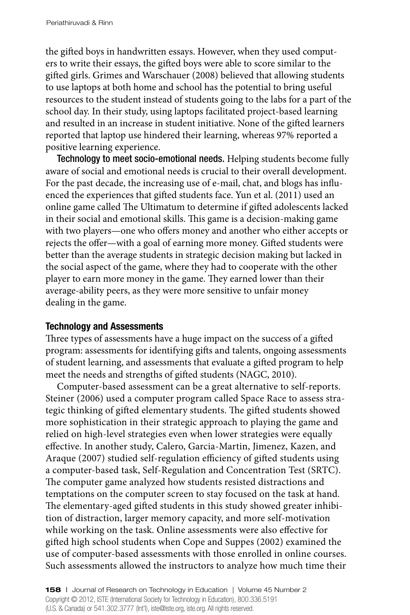the gifted boys in handwritten essays. However, when they used computers to write their essays, the gifted boys were able to score similar to the gifted girls. Grimes and Warschauer (2008) believed that allowing students to use laptops at both home and school has the potential to bring useful resources to the student instead of students going to the labs for a part of the school day. In their study, using laptops facilitated project-based learning and resulted in an increase in student initiative. None of the gifted learners reported that laptop use hindered their learning, whereas 97% reported a positive learning experience.

Technology to meet socio-emotional needs. Helping students become fully aware of social and emotional needs is crucial to their overall development. For the past decade, the increasing use of e-mail, chat, and blogs has influenced the experiences that gifted students face. Yun et al. (2011) used an online game called The Ultimatum to determine if gifted adolescents lacked in their social and emotional skills. This game is a decision-making game with two players—one who offers money and another who either accepts or rejects the offer—with a goal of earning more money. Gifted students were better than the average students in strategic decision making but lacked in the social aspect of the game, where they had to cooperate with the other player to earn more money in the game. They earned lower than their average-ability peers, as they were more sensitive to unfair money dealing in the game.

## Technology and Assessments

Three types of assessments have a huge impact on the success of a gifted program: assessments for identifying gifts and talents, ongoing assessments of student learning, and assessments that evaluate a gifted program to help meet the needs and strengths of gifted students (NAGC, 2010).

Computer-based assessment can be a great alternative to self-reports. Steiner (2006) used a computer program called Space Race to assess strategic thinking of gifted elementary students. The gifted students showed more sophistication in their strategic approach to playing the game and relied on high-level strategies even when lower strategies were equally effective. In another study, Calero, Garcia-Martin, Jimenez, Kazen, and Araque (2007) studied self-regulation efficiency of gifted students using a computer-based task, Self-Regulation and Concentration Test (SRTC). The computer game analyzed how students resisted distractions and temptations on the computer screen to stay focused on the task at hand. The elementary-aged gifted students in this study showed greater inhibition of distraction, larger memory capacity, and more self-motivation while working on the task. Online assessments were also effective for gifted high school students when Cope and Suppes (2002) examined the use of computer-based assessments with those enrolled in online courses. Such assessments allowed the instructors to analyze how much time their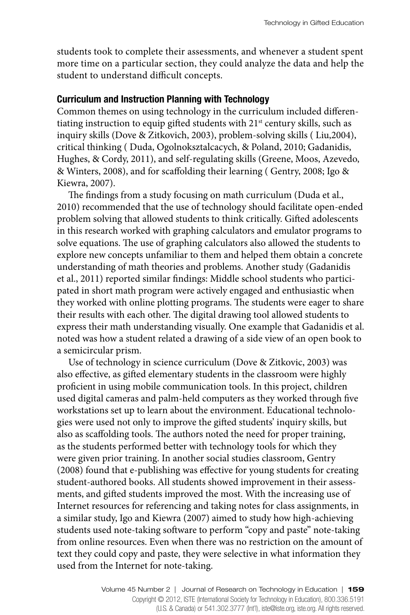students took to complete their assessments, and whenever a student spent more time on a particular section, they could analyze the data and help the student to understand difficult concepts.

#### Curriculum and Instruction Planning with Technology

Common themes on using technology in the curriculum included differentiating instruction to equip gifted students with  $21<sup>st</sup>$  century skills, such as inquiry skills (Dove & Zitkovich, 2003), problem-solving skills ( Liu,2004), critical thinking ( Duda, Ogolnoksztalcacych, & Poland, 2010; Gadanidis, Hughes, & Cordy, 2011), and self-regulating skills (Greene, Moos, Azevedo, & Winters, 2008), and for scaffolding their learning ( Gentry, 2008; Igo & Kiewra, 2007).

The findings from a study focusing on math curriculum (Duda et al., 2010) recommended that the use of technology should facilitate open-ended problem solving that allowed students to think critically. Gifted adolescents in this research worked with graphing calculators and emulator programs to solve equations. The use of graphing calculators also allowed the students to explore new concepts unfamiliar to them and helped them obtain a concrete understanding of math theories and problems. Another study (Gadanidis et al., 2011) reported similar findings: Middle school students who participated in short math program were actively engaged and enthusiastic when they worked with online plotting programs. The students were eager to share their results with each other. The digital drawing tool allowed students to express their math understanding visually. One example that Gadanidis et al. noted was how a student related a drawing of a side view of an open book to a semicircular prism.

Use of technology in science curriculum (Dove & Zitkovic, 2003) was also effective, as gifted elementary students in the classroom were highly proficient in using mobile communication tools. In this project, children used digital cameras and palm-held computers as they worked through five workstations set up to learn about the environment. Educational technologies were used not only to improve the gifted students' inquiry skills, but also as scaffolding tools. The authors noted the need for proper training, as the students performed better with technology tools for which they were given prior training. In another social studies classroom, Gentry (2008) found that e-publishing was effective for young students for creating student-authored books. All students showed improvement in their assessments, and gifted students improved the most. With the increasing use of Internet resources for referencing and taking notes for class assignments, in a similar study, Igo and Kiewra (2007) aimed to study how high-achieving students used note-taking software to perform "copy and paste" note-taking from online resources. Even when there was no restriction on the amount of text they could copy and paste, they were selective in what information they used from the Internet for note-taking.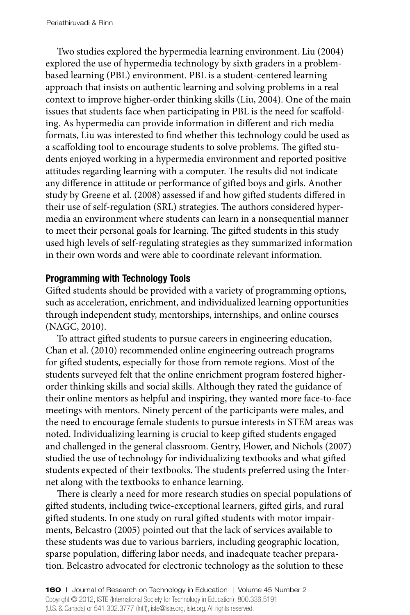Two studies explored the hypermedia learning environment. Liu (2004) explored the use of hypermedia technology by sixth graders in a problembased learning (PBL) environment. PBL is a student-centered learning approach that insists on authentic learning and solving problems in a real context to improve higher-order thinking skills (Liu, 2004). One of the main issues that students face when participating in PBL is the need for scaffolding. As hypermedia can provide information in different and rich media formats, Liu was interested to find whether this technology could be used as a scaffolding tool to encourage students to solve problems. The gifted students enjoyed working in a hypermedia environment and reported positive attitudes regarding learning with a computer. The results did not indicate any difference in attitude or performance of gifted boys and girls. Another study by Greene et al. (2008) assessed if and how gifted students differed in their use of self-regulation (SRL) strategies. The authors considered hypermedia an environment where students can learn in a nonsequential manner to meet their personal goals for learning. The gifted students in this study used high levels of self-regulating strategies as they summarized information in their own words and were able to coordinate relevant information.

#### Programming with Technology Tools

Gifted students should be provided with a variety of programming options, such as acceleration, enrichment, and individualized learning opportunities through independent study, mentorships, internships, and online courses (NAGC, 2010).

To attract gifted students to pursue careers in engineering education, Chan et al. (2010) recommended online engineering outreach programs for gifted students, especially for those from remote regions. Most of the students surveyed felt that the online enrichment program fostered higherorder thinking skills and social skills. Although they rated the guidance of their online mentors as helpful and inspiring, they wanted more face-to-face meetings with mentors. Ninety percent of the participants were males, and the need to encourage female students to pursue interests in STEM areas was noted. Individualizing learning is crucial to keep gifted students engaged and challenged in the general classroom. Gentry, Flower, and Nichols (2007) studied the use of technology for individualizing textbooks and what gifted students expected of their textbooks. The students preferred using the Internet along with the textbooks to enhance learning.

There is clearly a need for more research studies on special populations of gifted students, including twice-exceptional learners, gifted girls, and rural gifted students. In one study on rural gifted students with motor impairments, Belcastro (2005) pointed out that the lack of services available to these students was due to various barriers, including geographic location, sparse population, differing labor needs, and inadequate teacher preparation. Belcastro advocated for electronic technology as the solution to these

160 | Journal of Research on Technology in Education | Volume 45 Number 2 Copyright © 2012, ISTE (International Society for Technology in Education), 800.336.5191 (U.S. & Canada) or 541.302.3777 (Int'l), iste@iste.org, iste.org. All rights reserved.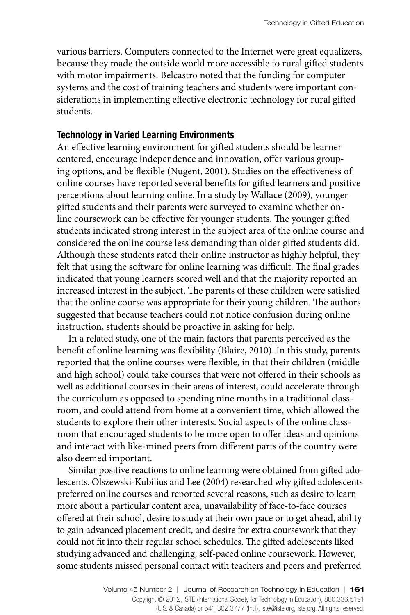various barriers. Computers connected to the Internet were great equalizers, because they made the outside world more accessible to rural gifted students with motor impairments. Belcastro noted that the funding for computer systems and the cost of training teachers and students were important considerations in implementing effective electronic technology for rural gifted students.

#### Technology in Varied Learning Environments

An effective learning environment for gifted students should be learner centered, encourage independence and innovation, offer various grouping options, and be flexible (Nugent, 2001). Studies on the effectiveness of online courses have reported several benefits for gifted learners and positive perceptions about learning online. In a study by Wallace (2009), younger gifted students and their parents were surveyed to examine whether online coursework can be effective for younger students. The younger gifted students indicated strong interest in the subject area of the online course and considered the online course less demanding than older gifted students did. Although these students rated their online instructor as highly helpful, they felt that using the software for online learning was difficult. The final grades indicated that young learners scored well and that the majority reported an increased interest in the subject. The parents of these children were satisfied that the online course was appropriate for their young children. The authors suggested that because teachers could not notice confusion during online instruction, students should be proactive in asking for help.

In a related study, one of the main factors that parents perceived as the benefit of online learning was flexibility (Blaire, 2010). In this study, parents reported that the online courses were flexible, in that their children (middle and high school) could take courses that were not offered in their schools as well as additional courses in their areas of interest, could accelerate through the curriculum as opposed to spending nine months in a traditional classroom, and could attend from home at a convenient time, which allowed the students to explore their other interests. Social aspects of the online classroom that encouraged students to be more open to offer ideas and opinions and interact with like-mined peers from different parts of the country were also deemed important.

Similar positive reactions to online learning were obtained from gifted adolescents. Olszewski-Kubilius and Lee (2004) researched why gifted adolescents preferred online courses and reported several reasons, such as desire to learn more about a particular content area, unavailability of face-to-face courses offered at their school, desire to study at their own pace or to get ahead, ability to gain advanced placement credit, and desire for extra coursework that they could not fit into their regular school schedules. The gifted adolescents liked studying advanced and challenging, self-paced online coursework. However, some students missed personal contact with teachers and peers and preferred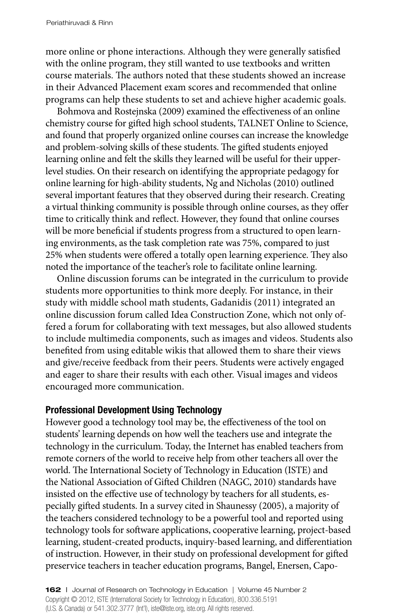more online or phone interactions. Although they were generally satisfied with the online program, they still wanted to use textbooks and written course materials. The authors noted that these students showed an increase in their Advanced Placement exam scores and recommended that online programs can help these students to set and achieve higher academic goals.

Bohmova and Rostejnska (2009) examined the effectiveness of an online chemistry course for gifted high school students, TALNET Online to Science, and found that properly organized online courses can increase the knowledge and problem-solving skills of these students. The gifted students enjoyed learning online and felt the skills they learned will be useful for their upperlevel studies. On their research on identifying the appropriate pedagogy for online learning for high-ability students, Ng and Nicholas (2010) outlined several important features that they observed during their research. Creating a virtual thinking community is possible through online courses, as they offer time to critically think and reflect. However, they found that online courses will be more beneficial if students progress from a structured to open learning environments, as the task completion rate was 75%, compared to just 25% when students were offered a totally open learning experience. They also noted the importance of the teacher's role to facilitate online learning.

Online discussion forums can be integrated in the curriculum to provide students more opportunities to think more deeply. For instance, in their study with middle school math students, Gadanidis (2011) integrated an online discussion forum called Idea Construction Zone, which not only offered a forum for collaborating with text messages, but also allowed students to include multimedia components, such as images and videos. Students also benefited from using editable wikis that allowed them to share their views and give/receive feedback from their peers. Students were actively engaged and eager to share their results with each other. Visual images and videos encouraged more communication.

## Professional Development Using Technology

However good a technology tool may be, the effectiveness of the tool on students' learning depends on how well the teachers use and integrate the technology in the curriculum. Today, the Internet has enabled teachers from remote corners of the world to receive help from other teachers all over the world. The International Society of Technology in Education (ISTE) and the National Association of Gifted Children (NAGC, 2010) standards have insisted on the effective use of technology by teachers for all students, especially gifted students. In a survey cited in Shaunessy (2005), a majority of the teachers considered technology to be a powerful tool and reported using technology tools for software applications, cooperative learning, project-based learning, student-created products, inquiry-based learning, and differentiation of instruction. However, in their study on professional development for gifted preservice teachers in teacher education programs, Bangel, Enersen, Capo-

162 | Journal of Research on Technology in Education | Volume 45 Number 2 Copyright © 2012, ISTE (International Society for Technology in Education), 800.336.5191 (U.S. & Canada) or 541.302.3777 (Int'l), iste@iste.org, iste.org. All rights reserved.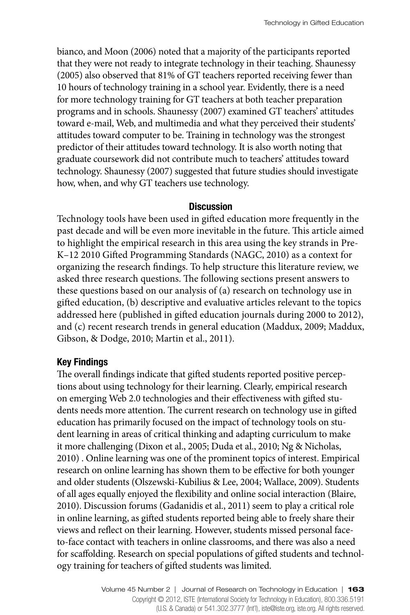bianco, and Moon (2006) noted that a majority of the participants reported that they were not ready to integrate technology in their teaching. Shaunessy (2005) also observed that 81% of GT teachers reported receiving fewer than 10 hours of technology training in a school year. Evidently, there is a need for more technology training for GT teachers at both teacher preparation programs and in schools. Shaunessy (2007) examined GT teachers' attitudes toward e-mail, Web, and multimedia and what they perceived their students' attitudes toward computer to be. Training in technology was the strongest predictor of their attitudes toward technology. It is also worth noting that graduate coursework did not contribute much to teachers' attitudes toward technology. Shaunessy (2007) suggested that future studies should investigate how, when, and why GT teachers use technology.

## **Discussion**

Technology tools have been used in gifted education more frequently in the past decade and will be even more inevitable in the future. This article aimed to highlight the empirical research in this area using the key strands in Pre-K–12 2010 Gifted Programming Standards (NAGC, 2010) as a context for organizing the research findings. To help structure this literature review, we asked three research questions. The following sections present answers to these questions based on our analysis of (a) research on technology use in gifted education, (b) descriptive and evaluative articles relevant to the topics addressed here (published in gifted education journals during 2000 to 2012), and (c) recent research trends in general education (Maddux, 2009; Maddux, Gibson, & Dodge, 2010; Martin et al., 2011).

## Key Findings

The overall findings indicate that gifted students reported positive perceptions about using technology for their learning. Clearly, empirical research on emerging Web 2.0 technologies and their effectiveness with gifted students needs more attention. The current research on technology use in gifted education has primarily focused on the impact of technology tools on student learning in areas of critical thinking and adapting curriculum to make it more challenging (Dixon et al., 2005; Duda et al., 2010; Ng & Nicholas, 2010) . Online learning was one of the prominent topics of interest. Empirical research on online learning has shown them to be effective for both younger and older students (Olszewski-Kubilius & Lee, 2004; Wallace, 2009). Students of all ages equally enjoyed the flexibility and online social interaction (Blaire, 2010). Discussion forums (Gadanidis et al., 2011) seem to play a critical role in online learning, as gifted students reported being able to freely share their views and reflect on their learning. However, students missed personal faceto-face contact with teachers in online classrooms, and there was also a need for scaffolding. Research on special populations of gifted students and technology training for teachers of gifted students was limited.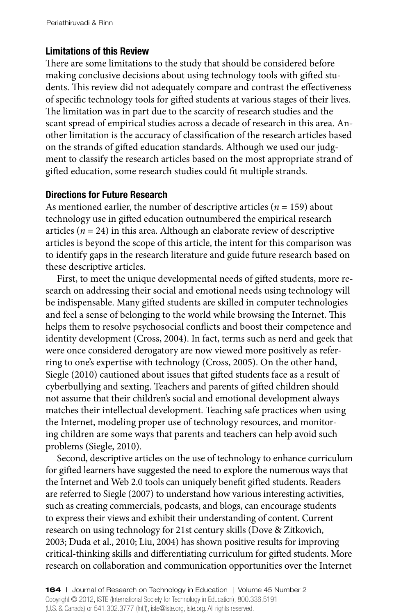## Limitations of this Review

There are some limitations to the study that should be considered before making conclusive decisions about using technology tools with gifted students. This review did not adequately compare and contrast the effectiveness of specific technology tools for gifted students at various stages of their lives. The limitation was in part due to the scarcity of research studies and the scant spread of empirical studies across a decade of research in this area. Another limitation is the accuracy of classification of the research articles based on the strands of gifted education standards. Although we used our judgment to classify the research articles based on the most appropriate strand of gifted education, some research studies could fit multiple strands.

## Directions for Future Research

As mentioned earlier, the number of descriptive articles (*n* = 159) about technology use in gifted education outnumbered the empirical research articles ( $n = 24$ ) in this area. Although an elaborate review of descriptive articles is beyond the scope of this article, the intent for this comparison was to identify gaps in the research literature and guide future research based on these descriptive articles.

First, to meet the unique developmental needs of gifted students, more research on addressing their social and emotional needs using technology will be indispensable. Many gifted students are skilled in computer technologies and feel a sense of belonging to the world while browsing the Internet. This helps them to resolve psychosocial conflicts and boost their competence and identity development (Cross, 2004). In fact, terms such as nerd and geek that were once considered derogatory are now viewed more positively as referring to one's expertise with technology (Cross, 2005). On the other hand, Siegle (2010) cautioned about issues that gifted students face as a result of cyberbullying and sexting. Teachers and parents of gifted children should not assume that their children's social and emotional development always matches their intellectual development. Teaching safe practices when using the Internet, modeling proper use of technology resources, and monitoring children are some ways that parents and teachers can help avoid such problems (Siegle, 2010).

Second, descriptive articles on the use of technology to enhance curriculum for gifted learners have suggested the need to explore the numerous ways that the Internet and Web 2.0 tools can uniquely benefit gifted students. Readers are referred to Siegle (2007) to understand how various interesting activities, such as creating commercials, podcasts, and blogs, can encourage students to express their views and exhibit their understanding of content. Current research on using technology for 21st century skills (Dove & Zitkovich, 2003; Duda et al., 2010; Liu, 2004) has shown positive results for improving critical-thinking skills and differentiating curriculum for gifted students. More research on collaboration and communication opportunities over the Internet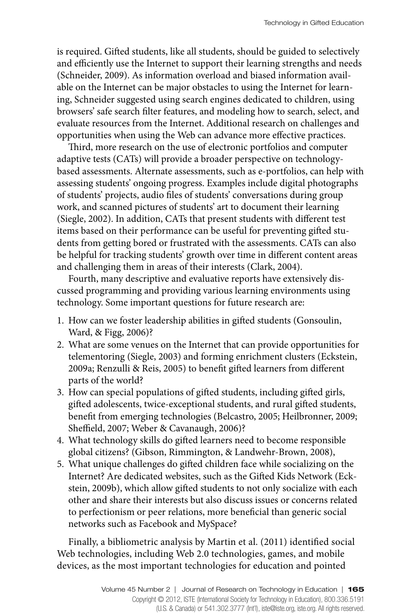is required. Gifted students, like all students, should be guided to selectively and efficiently use the Internet to support their learning strengths and needs (Schneider, 2009). As information overload and biased information available on the Internet can be major obstacles to using the Internet for learning, Schneider suggested using search engines dedicated to children, using browsers' safe search filter features, and modeling how to search, select, and evaluate resources from the Internet. Additional research on challenges and opportunities when using the Web can advance more effective practices.

Third, more research on the use of electronic portfolios and computer adaptive tests (CATs) will provide a broader perspective on technologybased assessments. Alternate assessments, such as e-portfolios, can help with assessing students' ongoing progress. Examples include digital photographs of students' projects, audio files of students' conversations during group work, and scanned pictures of students' art to document their learning (Siegle, 2002). In addition, CATs that present students with different test items based on their performance can be useful for preventing gifted students from getting bored or frustrated with the assessments. CATs can also be helpful for tracking students' growth over time in different content areas and challenging them in areas of their interests (Clark, 2004).

Fourth, many descriptive and evaluative reports have extensively discussed programming and providing various learning environments using technology. Some important questions for future research are:

- 1. How can we foster leadership abilities in gifted students (Gonsoulin, Ward, & Figg, 2006)?
- 2. What are some venues on the Internet that can provide opportunities for telementoring (Siegle, 2003) and forming enrichment clusters (Eckstein, 2009a; Renzulli & Reis, 2005) to benefit gifted learners from different parts of the world?
- 3. How can special populations of gifted students, including gifted girls, gifted adolescents, twice-exceptional students, and rural gifted students, benefit from emerging technologies (Belcastro, 2005; Heilbronner, 2009; Sheffield, 2007; Weber & Cavanaugh, 2006)?
- 4. What technology skills do gifted learners need to become responsible global citizens? (Gibson, Rimmington, & Landwehr-Brown, 2008),
- 5. What unique challenges do gifted children face while socializing on the Internet? Are dedicated websites, such as the Gifted Kids Network (Eckstein, 2009b), which allow gifted students to not only socialize with each other and share their interests but also discuss issues or concerns related to perfectionism or peer relations, more beneficial than generic social networks such as Facebook and MySpace?

Finally, a bibliometric analysis by Martin et al. (2011) identified social Web technologies, including Web 2.0 technologies, games, and mobile devices, as the most important technologies for education and pointed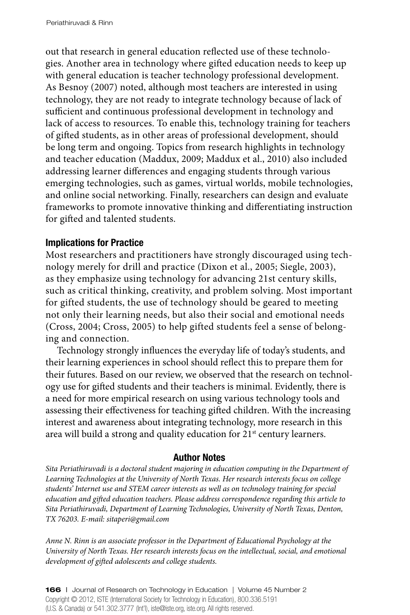out that research in general education reflected use of these technologies. Another area in technology where gifted education needs to keep up with general education is teacher technology professional development. As Besnoy (2007) noted, although most teachers are interested in using technology, they are not ready to integrate technology because of lack of sufficient and continuous professional development in technology and lack of access to resources. To enable this, technology training for teachers of gifted students, as in other areas of professional development, should be long term and ongoing. Topics from research highlights in technology and teacher education (Maddux, 2009; Maddux et al., 2010) also included addressing learner differences and engaging students through various emerging technologies, such as games, virtual worlds, mobile technologies, and online social networking. Finally, researchers can design and evaluate frameworks to promote innovative thinking and differentiating instruction for gifted and talented students.

## Implications for Practice

Most researchers and practitioners have strongly discouraged using technology merely for drill and practice (Dixon et al., 2005; Siegle, 2003), as they emphasize using technology for advancing 21st century skills, such as critical thinking, creativity, and problem solving. Most important for gifted students, the use of technology should be geared to meeting not only their learning needs, but also their social and emotional needs (Cross, 2004; Cross, 2005) to help gifted students feel a sense of belonging and connection.

Technology strongly influences the everyday life of today's students, and their learning experiences in school should reflect this to prepare them for their futures. Based on our review, we observed that the research on technology use for gifted students and their teachers is minimal. Evidently, there is a need for more empirical research on using various technology tools and assessing their effectiveness for teaching gifted children. With the increasing interest and awareness about integrating technology, more research in this area will build a strong and quality education for 21<sup>st</sup> century learners.

## Author Notes

*Sita Periathiruvadi is a doctoral student majoring in education computing in the Department of Learning Technologies at the University of North Texas. Her research interests focus on college students' Internet use and STEM career interests as well as on technology training for special education and gifted education teachers. Please address correspondence regarding this article to Sita Periathiruvadi, Department of Learning Technologies, University of North Texas, Denton, TX 76203. E-mail: sitaperi@gmail.com*

*Anne N. Rinn is an associate professor in the Department of Educational Psychology at the University of North Texas. Her research interests focus on the intellectual, social, and emotional development of gifted adolescents and college students.*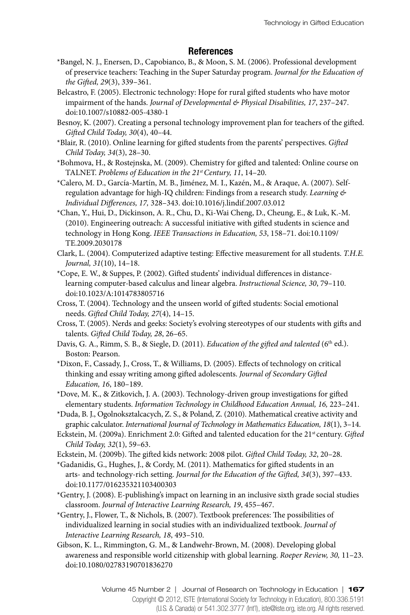#### References

- \*Bangel, N. J., Enersen, D., Capobianco, B., & Moon, S. M. (2006). Professional development of preservice teachers: Teaching in the Super Saturday program. *Journal for the Education of the Gifted, 29*(3), 339–361.
- Belcastro, F. (2005). Electronic technology: Hope for rural gifted students who have motor impairment of the hands. *Journal of Developmental & Physical Disabilities, 17*, 237–247. doi:10.1007/s10882-005-4380-1
- Besnoy, K. (2007). Creating a personal technology improvement plan for teachers of the gifted. *Gifted Child Today, 30*(4), 40–44.
- \*Blair, R. (2010). Online learning for gifted students from the parents' perspectives. *Gifted Child Today, 34*(3), 28–30.
- \*Bohmova, H., & Rostejnska, M. (2009). Chemistry for gifted and talented: Online course on TALNET. *Problems of Education in the 21st Century, 11*, 14–20.
- \*Calero, M. D., García-Martín, M. B., Jiménez, M. I., Kazén, M., & Araque, A. (2007). Selfregulation advantage for high-IQ children: Findings from a research study. *Learning & Individual Differences, 17,* 328–343. doi:10.1016/j.lindif.2007.03.012
- \*Chan, Y., Hui, D., Dickinson, A. R., Chu, D., Ki-Wai Cheng, D., Cheung, E., & Luk, K.-M. (2010). Engineering outreach: A successful initiative with gifted students in science and technology in Hong Kong. *IEEE Transactions in Education, 53*, 158–71. doi:10.1109/ TE.2009.2030178
- Clark, L. (2004). Computerized adaptive testing: Effective measurement for all students. *T.H.E. Journal, 31*(10), 14–18.
- \*Cope, E. W., & Suppes, P. (2002). Gifted students' individual differences in distancelearning computer-based calculus and linear algebra. *Instructional Science, 30*, 79–110. doi:10.1023/A:1014783805716
- Cross, T. (2004). Technology and the unseen world of gifted students: Social emotional needs. *Gifted Child Today, 27*(4), 14–15.
- Cross, T. (2005). Nerds and geeks: Society's evolving stereotypes of our students with gifts and talents. *Gifted Child Today, 28*, 26–65.
- Davis, G. A., Rimm, S. B., & Siegle, D. (2011). *Education of the gifted and talented* (6<sup>th</sup> ed.). Boston: Pearson.
- \*Dixon, F., Cassady, J., Cross, T., & Williams, D. (2005). Effects of technology on critical thinking and essay writing among gifted adolescents. *Journal of Secondary Gifted Education, 16*, 180–189.
- \*Dove, M. K., & Zitkovich, J. A. (2003). Technology-driven group investigations for gifted elementary students. *Information Technology in Childhood Education Annual*, 16, 223-241.
- \*Duda, B. J., Ogolnoksztalcacych, Z. S., & Poland, Z. (2010). Mathematical creative activity and graphic calculator. *International Journal of Technology in Mathematics Education, 18*(1), 3–14.
- Eckstein, M. (2009a). Enrichment 2.0: Gifted and talented education for the 21st century. *Gifted Child Today, 32*(1), 59–63.
- Eckstein, M. (2009b). The gifted kids network: 2008 pilot. *Gifted Child Today, 32*, 20–28.
- \*Gadanidis, G., Hughes, J., & Cordy, M. (2011). Mathematics for gifted students in an arts- and technology-rich setting. *Journal for the Education of the Gifted, 34*(3), 397–433. doi:10.1177/016235321103400303
- \*Gentry, J. (2008). E-publishing's impact on learning in an inclusive sixth grade social studies classroom. *Journal of Interactive Learning Research, 19*, 455–467.
- \*Gentry, J., Flower, T., & Nichols, B. (2007). Textbook preferences: The possibilities of individualized learning in social studies with an individualized textbook. *Journal of Interactive Learning Research, 18*, 493–510.
- Gibson, K. L., Rimmington, G. M., & Landwehr-Brown, M. (2008). Developing global awareness and responsible world citizenship with global learning. *Roeper Review, 30,* 11–23. doi:10.1080/02783190701836270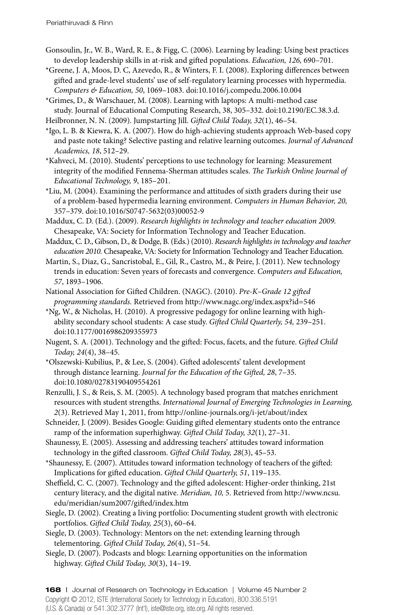- Gonsoulin, Jr., W. B., Ward, R. E., & Figg, C. (2006). Learning by leading: Using best practices to develop leadership skills in at-risk and gifted populations. *Education, 126,* 690–701.
- \*Greene, J. A, Moos, D. C, Azevedo, R., & Winters, F. I. (2008). Exploring differences between gifted and grade-level students' use of self-regulatory learning processes with hypermedia. *Computers & Education, 50*, 1069–1083. doi:10.1016/j.compedu.2006.10.004
- \*Grimes, D., & Warschauer, M. (2008). Learning with laptops: A multi-method case study. Journal of Educational Computing Research, 38, 305–332. doi:10.2190/EC.38.3.d.
- Heilbronner, N. N. (2009). Jumpstarting Jill. *Gifted Child Today, 32*(1), 46–54.
- \*Igo, L. B. & Kiewra, K. A. (2007). How do high-achieving students approach Web-based copy and paste note taking? Selective pasting and relative learning outcomes. *Journal of Advanced Academics, 18*, 512–29.
- \*Kahveci, M. (2010). Students' perceptions to use technology for learning: Measurement integrity of the modified Fennema-Sherman attitudes scales. *The Turkish Online Journal of Educational Technology, 9*, 185–201.
- \*Liu, M. (2004). Examining the performance and attitudes of sixth graders during their use of a problem-based hypermedia learning environment. *Computers in Human Behavior, 20,*  357–379. doi:10.1016/S0747-5632(03)00052-9
- Maddux, C. D. (Ed.). (2009). *Research highlights in technology and teacher education 2009.*  Chesapeake, VA: Society for Information Technology and Teacher Education.
- Maddux, C. D., Gibson, D., & Dodge, B. (Eds.) (2010). *Research highlights in technology and teacher education 2010.* Chesapeake, VA: Society for Information Technology and Teacher Education.
- Martin, S., Diaz, G., Sancristobal, E., Gil, R., Castro, M., & Peire, J. (2011). New technology trends in education: Seven years of forecasts and convergence. *Computers and Education, 57*, 1893–1906.
- National Association for Gifted Children. (NAGC). (2010). *Pre-K–Grade 12 gifted programming standards.* Retrieved from http://www.nagc.org/index.aspx?id=546
- \*Ng, W., & Nicholas, H. (2010). A progressive pedagogy for online learning with highability secondary school students: A case study. *Gifted Child Quarterly, 54,* 239–251. doi:10.1177/0016986209355973
- Nugent, S. A. (2001). Technology and the gifted: Focus, facets, and the future. *Gifted Child Today, 24*(4), 38–45.
- \*Olszewski-Kubilius, P., & Lee, S. (2004). Gifted adolescents' talent development through distance learning. *Journal for the Education of the Gifted, 28*, 7–35. doi:10.1080/02783190409554261
- Renzulli, J. S., & Reis, S. M. (2005). A technology based program that matches enrichment resources with student strengths. *International Journal of Emerging Technologies in Learning, 2*(3). Retrieved May 1, 2011, from http://online-journals.org/i-jet/about/index
- Schneider, J. (2009). Besides Google: Guiding gifted elementary students onto the entrance ramp of the information superhighway. *Gifted Child Today, 32*(1), 27–31.
- Shaunessy, E. (2005). Assessing and addressing teachers' attitudes toward information technology in the gifted classroom. *Gifted Child Today, 28*(3), 45–53.
- \*Shaunessy, E. (2007). Attitudes toward information technology of teachers of the gifted: Implications for gifted education. *Gifted Child Quarterly, 51*, 119–135.
- Sheffield, C. C. (2007). Technology and the gifted adolescent: Higher-order thinking, 21st century literacy, and the digital native. *Meridian, 10,* 5. Retrieved from http://www.ncsu. edu/meridian/sum2007/gifted/index.htm
- Siegle, D. (2002). Creating a living portfolio: Documenting student growth with electronic portfolios. *Gifted Child Today, 25*(3), 60–64.
- Siegle, D. (2003). Technology: Mentors on the net: extending learning through telementoring. *Gifted Child Today, 26*(4), 51–54.
- Siegle, D. (2007). Podcasts and blogs: Learning opportunities on the information highway. *Gifted Child Today, 30*(3), 14–19.

168 | Journal of Research on Technology in Education | Volume 45 Number 2 Copyright © 2012, ISTE (International Society for Technology in Education), 800.336.5191 (U.S. & Canada) or 541.302.3777 (Int'l), iste@iste.org, iste.org. All rights reserved.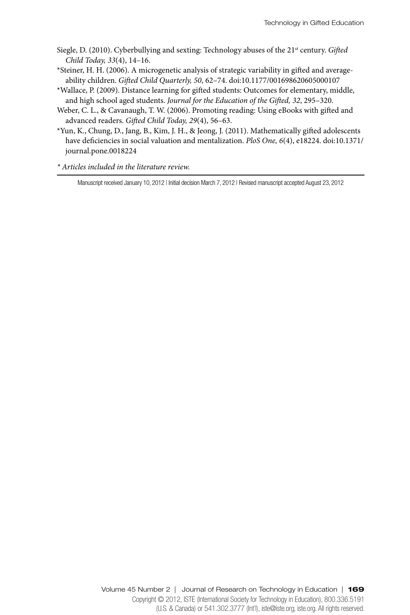- Siegle, D. (2010). Cyberbullying and sexting: Technology abuses of the 21<sup>st</sup> century. Gifted *Child Today, 33*(4), 14–16.
- \*Steiner, H. H. (2006). A microgenetic analysis of strategic variability in gifted and averageability children. *Gifted Child Quarterly, 50*, 62–74. doi:10.1177/001698620605000107
- \*Wallace, P. (2009). Distance learning for gifted students: Outcomes for elementary, middle, and high school aged students. *Journal for the Education of the Gifted, 32*, 295–320.
- Weber, C. L., & Cavanaugh, T. W. (2006). Promoting reading: Using eBooks with gifted and advanced readers. *Gifted Child Today, 29*(4), 56–63.
- \*Yun, K., Chung, D., Jang, B., Kim, J. H., & Jeong, J. (2011). Mathematically gifted adolescents have deficiencies in social valuation and mentalization. *PloS One, 6*(4), e18224. doi:10.1371/ journal.pone.0018224
- *\* Articles included in the literature review.*

Manuscript received January 10, 2012 | Initial decision March 7, 2012 | Revised manuscript accepted August 23, 2012